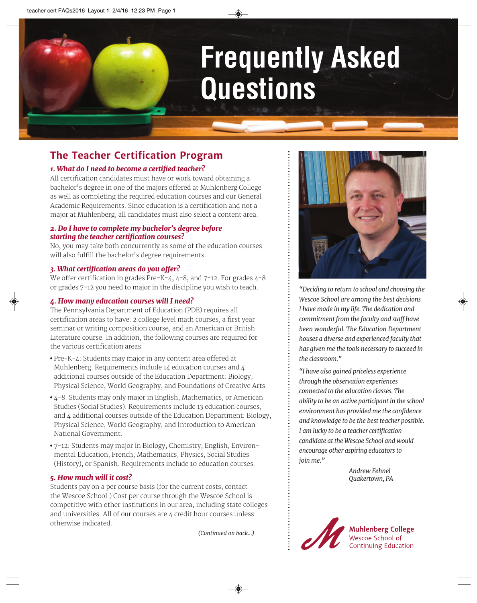# **Frequently Asked Questions**

### **The Teacher Certification Program**

#### *1. What do I need to become a certified teacher?*

All certification candidates must have or work toward obtaining a bachelor's degree in one of the majors offered at Muhlenberg College as well as completing the required education courses and our General Academic Requirements. Since education is a certification and not a major at Muhlenberg, all candidates must also select a content area.

#### *2. Do I have to complete my bachelor's degree before starting the teacher certification courses?*

No, you may take both concurrently as some of the education courses will also fulfill the bachelor's degree requirements.

#### *3. What certification areas do you offer?*

We offer certification in grades Pre-K-4, 4-8, and 7-12. For grades 4-8 or grades 7-12 you need to major in the discipline you wish to teach.

#### *4. How many education courses will I need?*

The Pennsylvania Department of Education (PDE) requires all certification areas to have: 2 college level math courses, a first year seminar or writing composition course, and an American or British Literature course. In addition, the following courses are required for the various certification areas:

- Pre-K-4: Students may major in any content area offered at Muhlenberg. Requirements include 14 education courses and 4 additional courses outside of the Education Department: Biology, Physical Science, World Geography, and Foundations of Creative Arts.
- 4-8: Students may only major in English, Mathematics, or American Studies (Social Studies). Requirements include 13 education courses, and 4 additional courses outside of the Education Department: Biology, Physical Science, World Geography, and Introduction to American National Government.
- 7-12: Students may major in Biology, Chemistry, English, Environmental Education, French, Mathematics, Physics, Social Studies (History), or Spanish. Requirements include 10 education courses.

#### *5. How much will it cost?*

Students pay on a per course basis (for the current costs, contact the Wescoe School.) Cost per course through the Wescoe School is competitive with other institutions in our area, including state colleges and universities. All of our courses are 4 credit hour courses unless otherwise indicated.

*(Continued on back...)*



*"Deciding to return to school and choosing the Wescoe School are among the best decisions I have made in my life. The dedication and commitment from the faculty and staff have been wonderful. The Education Department houses a diverse and experienced faculty that has given me the tools necessary to succeed in the classroom."*

*"I have also gained priceless experience through the observation experiences connected to the education classes. The ability to be an active participant in the school environment has provided me the confidence and knowledge to be the best teacher possible. I am lucky to be a teacher certification candidate at the Wescoe School and would encourage other aspiring educators to join me."*

> *Andrew Fehnel Quakertown, PA*



**Muhlenberg College** Wescoe School of **Continuing Education**